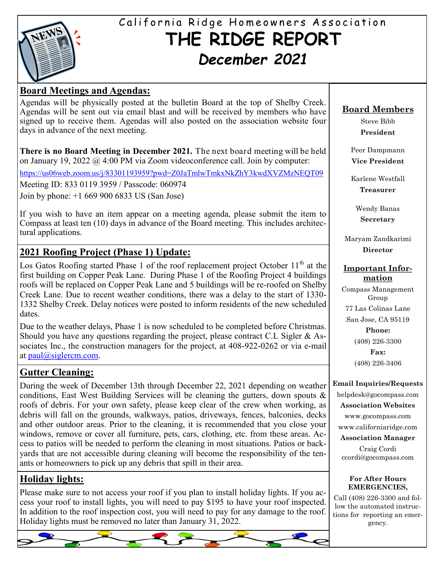

# California Ridge Homeowners Association **THE RIDGE REPORT** *December 2021*

### **Board Meetings and Agendas:**

Agendas will be physically posted at the bulletin Board at the top of Shelby Creek. Agendas will be sent out via email blast and will be received by members who have signed up to receive them. Agendas will also posted on the association website four days in advance of the next meeting.

**There is no Board Meeting in December 2021.** The next board meeting will be held on January 19, 2022 @ 4:00 PM via Zoom videoconference call. Join by computer:

<https://us06web.zoom.us/j/83301193959?pwd=Z0JaTmlwTmkxNkZhY3kwdXVZMzNEQT09>

Meeting ID: 833 0119 3959 / Passcode: 060974

Join by phone: +1 669 900 6833 US (San Jose)

If you wish to have an item appear on a meeting agenda, please submit the item to Compass at least ten (10) days in advance of the Board meeting. This includes architectural applications.

### **2021 Roofing Project (Phase 1) Update:**

Los Gatos Roofing started Phase 1 of the roof replacement project October  $11<sup>th</sup>$  at the first building on Copper Peak Lane. During Phase 1 of the Roofing Project 4 buildings roofs will be replaced on Copper Peak Lane and 5 buildings will be re-roofed on Shelby Creek Lane. Due to recent weather conditions, there was a delay to the start of 1330- 1332 Shelby Creek. Delay notices were posted to inform residents of the new scheduled dates.

Due to the weather delays, Phase 1 is now scheduled to be completed before Christmas. Should you have any questions regarding the project, please contract C.L Sigler  $\&$  Associates Inc., the construction managers for the project, at 408-922-0262 or via e-mail at [paul@siglercm.com.](mailto:paul@siglercm.com)

### **Gutter Cleaning:**

During the week of December 13th through December 22, 2021 depending on weather conditions, East West Building Services will be cleaning the gutters, down spouts & roofs of debris. For your own safety, please keep clear of the crew when working, as debris will fall on the grounds, walkways, patios, driveways, fences, balconies, decks and other outdoor areas. Prior to the cleaning, it is recommended that you close your windows, remove or cover all furniture, pets, cars, clothing, etc. from these areas. Access to patios will be needed to perform the cleaning in most situations. Patios or backyards that are not accessible during cleaning will become the responsibility of the tenants or homeowners to pick up any debris that spill in their area.

### **Holiday lights:**

Please make sure to not access your roof if you plan to install holiday lights. If you access your roof to install lights, you will need to pay \$195 to have your roof inspected. In addition to the roof inspection cost, you will need to pay for any damage to the roof. Holiday lights must be removed no later than January 31, 2022.



Steve Bibb **President**

Peer Dampmann **Vice President**

Karlene Westfall **Treasurer**

> Wendy Banas **Secretary**

Maryam Zandkarimi **Director**

#### **Important Information**

Compass Management Group 77 Las Colinas Lane San Jose, CA 95119 **Phone:** (408) 226-3300 **Fax:** (408) 226-3406

#### **Email Inquiries/Requests**

helpdesk@gocompass.com **Association Websites** www.gocompass.com

www.californiaridge.com **Association Manager**

Craig Cordi ccordi@gocompass.com

#### **For After Hours EMERGENCIES,**

Call (408) 226-3300 and follow the automated instructions for reporting an emergency.

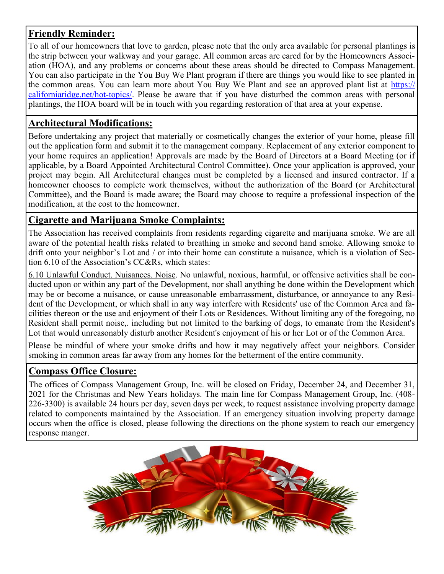### **Friendly Reminder:**

To all of our homeowners that love to garden, please note that the only area available for personal plantings is the strip between your walkway and your garage. All common areas are cared for by the Homeowners Association (HOA), and any problems or concerns about these areas should be directed to Compass Management. You can also participate in the You Buy We Plant program if there are things you would like to see planted in the common areas. You can learn more about You Buy We Plant and see an approved plant list at [https://](https://californiaridge.net/hot-topics/) [californiaridge.net/hot](https://californiaridge.net/hot-topics/)-topics/. Please be aware that if you have disturbed the common areas with personal plantings, the HOA board will be in touch with you regarding restoration of that area at your expense.

### **Architectural Modifications:**

Before undertaking any project that materially or cosmetically changes the exterior of your home, please fill out the application form and submit it to the management company. Replacement of any exterior component to your home requires an application! Approvals are made by the Board of Directors at a Board Meeting (or if applicable, by a Board Appointed Architectural Control Committee). Once your application is approved, your project may begin. All Architectural changes must be completed by a licensed and insured contractor. If a homeowner chooses to complete work themselves, without the authorization of the Board (or Architectural Committee), and the Board is made aware; the Board may choose to require a professional inspection of the modification, at the cost to the homeowner.

### **Cigarette and Marijuana Smoke Complaints:**

The Association has received complaints from residents regarding cigarette and marijuana smoke. We are all aware of the potential health risks related to breathing in smoke and second hand smoke. Allowing smoke to drift onto your neighbor's Lot and / or into their home can constitute a nuisance, which is a violation of Section 6.10 of the Association's CC&Rs, which states:

6.10 Unlawful Conduct. Nuisances. Noise. No unlawful, noxious, harmful, or offensive activities shall be conducted upon or within any part of the Development, nor shall anything be done within the Development which may be or become a nuisance, or cause unreasonable embarrassment, disturbance, or annoyance to any Resident of the Development, or which shall in any way interfere with Residents' use of the Common Area and facilities thereon or the use and enjoyment of their Lots or Residences. Without limiting any of the foregoing, no Resident shall permit noise,. including but not limited to the barking of dogs, to emanate from the Resident's Lot that would unreasonably disturb another Resident's enjoyment of his or her Lot or of the Common Area.

Please be mindful of where your smoke drifts and how it may negatively affect your neighbors. Consider smoking in common areas far away from any homes for the betterment of the entire community.

### **Compass Office Closure:**

The offices of Compass Management Group, Inc. will be closed on Friday, December 24, and December 31, 2021 for the Christmas and New Years holidays. The main line for Compass Management Group, Inc. (408- 226-3300) is available 24 hours per day, seven days per week, to request assistance involving property damage related to components maintained by the Association. If an emergency situation involving property damage occurs when the office is closed, please following the directions on the phone system to reach our emergency response manger.

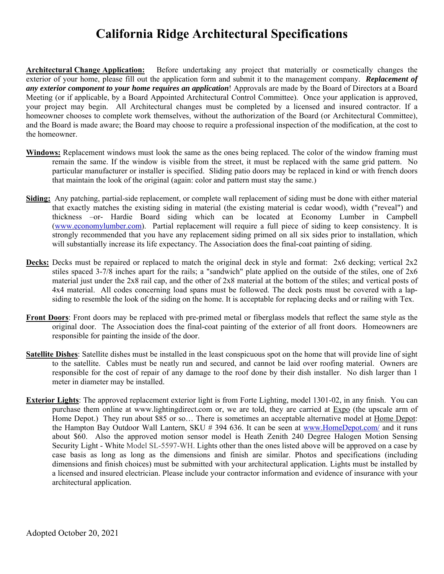# **California Ridge Architectural Specifications**

**Architectural Change Application:** Before undertaking any project that materially or cosmetically changes the exterior of your home, please fill out the application form and submit it to the management company. *Replacement of any exterior component to your home requires an application*! Approvals are made by the Board of Directors at a Board Meeting (or if applicable, by a Board Appointed Architectural Control Committee). Once your application is approved, your project may begin. All Architectural changes must be completed by a licensed and insured contractor. If a homeowner chooses to complete work themselves, without the authorization of the Board (or Architectural Committee), and the Board is made aware; the Board may choose to require a professional inspection of the modification, at the cost to the homeowner.

- **Windows:** Replacement windows must look the same as the ones being replaced. The color of the window framing must remain the same. If the window is visible from the street, it must be replaced with the same grid pattern. No particular manufacturer or installer is specified. Sliding patio doors may be replaced in kind or with french doors that maintain the look of the original (again: color and pattern must stay the same.)
- **Siding:** Any patching, partial-side replacement, or complete wall replacement of siding must be done with either material that exactly matches the existing siding in material (the existing material is cedar wood), width ("reveal") and thickness –or- Hardie Board siding which can be located at Economy Lumber in Campbell (www.economylumber.com). Partial replacement will require a full piece of siding to keep consistency. It is strongly recommended that you have any replacement siding primed on all six sides prior to installation, which will substantially increase its life expectancy. The Association does the final-coat painting of siding.
- **Decks:** Decks must be repaired or replaced to match the original deck in style and format: 2x6 decking; vertical 2x2 stiles spaced 3-7/8 inches apart for the rails; a "sandwich" plate applied on the outside of the stiles, one of 2x6 material just under the 2x8 rail cap, and the other of 2x8 material at the bottom of the stiles; and vertical posts of 4x4 material. All codes concerning load spans must be followed. The deck posts must be covered with a lapsiding to resemble the look of the siding on the home. It is acceptable for replacing decks and or railing with Tex.
- **Front Doors**: Front doors may be replaced with pre-primed metal or fiberglass models that reflect the same style as the original door. The Association does the final-coat painting of the exterior of all front doors. Homeowners are responsible for painting the inside of the door.
- **Satellite Dishes**: Satellite dishes must be installed in the least conspicuous spot on the home that will provide line of sight to the satellite. Cables must be neatly run and secured, and cannot be laid over roofing material. Owners are responsible for the cost of repair of any damage to the roof done by their dish installer. No dish larger than 1 meter in diameter may be installed.
- **Exterior Lights**: The approved replacement exterior light is from Forte Lighting, model 1301-02, in any finish. You can purchase them online at www.lightingdirect.com or, we are told, they are carried at Expo (the upscale arm of Home Depot.) They run about \$85 or so... There is sometimes an acceptable alternative model at Home Depot: the Hampton Bay Outdoor Wall Lantern, SKU # 394 636. It can be seen at www.HomeDepot.com/ and it runs about \$60. Also the approved motion sensor model is Heath Zenith 240 Degree Halogen Motion Sensing Security Light - White Model SL-5597-WH. Lights other than the ones listed above will be approved on a case by case basis as long as long as the dimensions and finish are similar. Photos and specifications (including dimensions and finish choices) must be submitted with your architectural application. Lights must be installed by a licensed and insured electrician. Please include your contractor information and evidence of insurance with your architectural application.